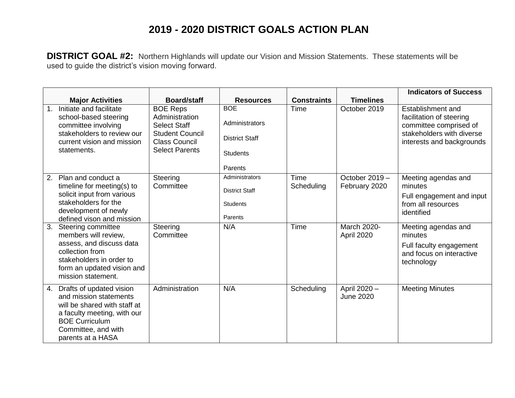## **2019 - 2020 DISTRICT GOALS ACTION PLAN**

**DISTRICT GOAL #2:** Northern Highlands will update our Vision and Mission Statements. These statements will be used to guide the district's vision moving forward.

|                |                                                                                                                                                                                        |                                                                                                                                     |                                                                                     |                    |                                  | <b>Indicators of Success</b>                                                                                                      |
|----------------|----------------------------------------------------------------------------------------------------------------------------------------------------------------------------------------|-------------------------------------------------------------------------------------------------------------------------------------|-------------------------------------------------------------------------------------|--------------------|----------------------------------|-----------------------------------------------------------------------------------------------------------------------------------|
|                | <b>Major Activities</b>                                                                                                                                                                | <b>Board/staff</b>                                                                                                                  | <b>Resources</b>                                                                    | <b>Constraints</b> | <b>Timelines</b>                 |                                                                                                                                   |
| $\mathbf{1}$ . | Initiate and facilitate<br>school-based steering<br>committee involving<br>stakeholders to review our<br>current vision and mission<br>statements.                                     | <b>BOE Reps</b><br>Administration<br><b>Select Staff</b><br><b>Student Council</b><br><b>Class Council</b><br><b>Select Parents</b> | <b>BOE</b><br>Administrators<br><b>District Staff</b><br><b>Students</b><br>Parents | Time               | October 2019                     | Establishment and<br>facilitation of steering<br>committee comprised of<br>stakeholders with diverse<br>interests and backgrounds |
| 2.             | Plan and conduct a<br>timeline for meeting(s) to<br>solicit input from various<br>stakeholders for the<br>development of newly<br>defined vison and mission                            | Steering<br>Committee                                                                                                               | Administrators<br><b>District Staff</b><br><b>Students</b><br>Parents               | Time<br>Scheduling | October 2019 -<br>February 2020  | Meeting agendas and<br>minutes<br>Full engagement and input<br>from all resources<br>identified                                   |
| 3.             | Steering committee<br>members will review,<br>assess, and discuss data<br>collection from<br>stakeholders in order to<br>form an updated vision and<br>mission statement.              | Steering<br>Committee                                                                                                               | N/A                                                                                 | Time               | <b>March 2020-</b><br>April 2020 | Meeting agendas and<br>minutes<br>Full faculty engagement<br>and focus on interactive<br>technology                               |
| 4.             | Drafts of updated vision<br>and mission statements<br>will be shared with staff at<br>a faculty meeting, with our<br><b>BOE Curriculum</b><br>Committee, and with<br>parents at a HASA | Administration                                                                                                                      | N/A                                                                                 | Scheduling         | April 2020 -<br><b>June 2020</b> | <b>Meeting Minutes</b>                                                                                                            |